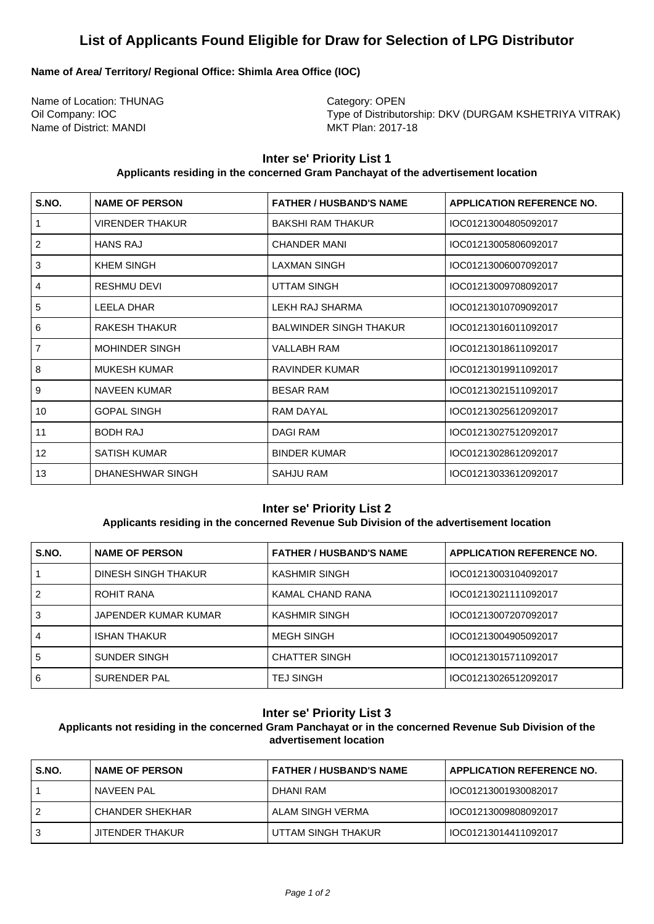# **List of Applicants Found Eligible for Draw for Selection of LPG Distributor**

# **Name of Area/ Territory/ Regional Office: Shimla Area Office (IOC)**

Name of Location: THUNAG Category: OPEN Name of District: MANDI MKT Plan: 2017-18

Oil Company: IOC **Type of Distributorship: DKV (DURGAM KSHETRIYA VITRAK)** 

# **Inter se' Priority List 1**

#### **Applicants residing in the concerned Gram Panchayat of the advertisement location**

| S.NO.          | <b>NAME OF PERSON</b> | <b>FATHER / HUSBAND'S NAME</b> | <b>APPLICATION REFERENCE NO.</b> |
|----------------|-----------------------|--------------------------------|----------------------------------|
| $\mathbf{1}$   | VIRENDER THAKUR       | <b>BAKSHI RAM THAKUR</b>       | IOC01213004805092017             |
| $\overline{2}$ | <b>HANS RAJ</b>       | <b>CHANDER MANI</b>            | IOC01213005806092017             |
| 3              | <b>KHEM SINGH</b>     | <b>LAXMAN SINGH</b>            | IOC01213006007092017             |
| 4              | <b>RESHMU DEVI</b>    | <b>UTTAM SINGH</b>             | IOC01213009708092017             |
| 5              | LEELA DHAR            | LEKH RAJ SHARMA                | IOC01213010709092017             |
| 6              | RAKESH THAKUR         | <b>BALWINDER SINGH THAKUR</b>  | IOC01213016011092017             |
| $\overline{7}$ | <b>MOHINDER SINGH</b> | VALLABH RAM                    | IOC01213018611092017             |
| 8              | <b>MUKESH KUMAR</b>   | RAVINDER KUMAR                 | IOC01213019911092017             |
| 9              | NAVEEN KUMAR          | <b>BESAR RAM</b>               | IOC01213021511092017             |
| 10             | <b>GOPAL SINGH</b>    | <b>RAM DAYAL</b>               | IOC01213025612092017             |
| 11             | <b>BODH RAJ</b>       | <b>DAGI RAM</b>                | IOC01213027512092017             |
| 12             | SATISH KUMAR          | <b>BINDER KUMAR</b>            | IOC01213028612092017             |
| 13             | DHANESHWAR SINGH      | <b>SAHJU RAM</b>               | IOC01213033612092017             |

# **Inter se' Priority List 2**

# **Applicants residing in the concerned Revenue Sub Division of the advertisement location**

| S.NO. | <b>NAME OF PERSON</b> | <b>FATHER / HUSBAND'S NAME</b> | <b>APPLICATION REFERENCE NO.</b> |
|-------|-----------------------|--------------------------------|----------------------------------|
|       | DINESH SINGH THAKUR   | KASHMIR SINGH                  | IOC01213003104092017             |
| 2     | ROHIT RANA            | KAMAL CHAND RANA               | IOC01213021111092017             |
| 3     | JAPENDER KUMAR KUMAR  | KASHMIR SINGH                  | IOC01213007207092017             |
| 4     | <b>ISHAN THAKUR</b>   | <b>MEGH SINGH</b>              | IOC01213004905092017             |
| 5     | <b>SUNDER SINGH</b>   | <b>CHATTER SINGH</b>           | IOC01213015711092017             |
| 6     | SURENDER PAL          | <b>TEJ SINGH</b>               | IOC01213026512092017             |

### **Inter se' Priority List 3**

**Applicants not residing in the concerned Gram Panchayat or in the concerned Revenue Sub Division of the advertisement location**

| S.NO. | <b>NAME OF PERSON</b> | I FATHER / HUSBAND'S NAME | <b>APPLICATION REFERENCE NO.</b> |
|-------|-----------------------|---------------------------|----------------------------------|
|       | I NAVFFN PAI          | I DHANI RAM               | l IOC01213001930082017           |
|       | CHANDER SHEKHAR       | I ALAM SINGH VERMA        | l IOC01213009808092017           |
| 3     | JITENDER THAKUR       | I UTTAM SINGH THAKUR      | l IOC01213014411092017           |